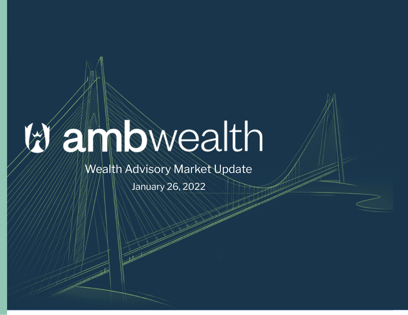## anbwealth

## Wealth Advisory Market Update

January 26, 2022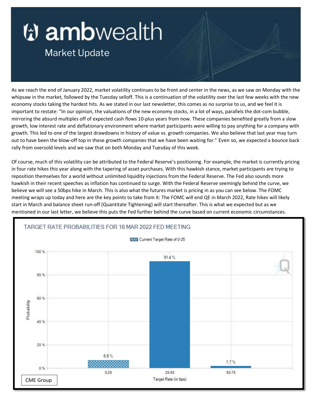## **(t) amb**wealth

## Market Update

As we reach the end of January 2022, market volatility continues to be front and center in the news, as we saw on Monday with the whipsaw in the market, followed by the Tuesday selloff. This is a continuation of the volatility over the last few weeks with the new economy stocks taking the hardest hits. As we stated in our last newsletter, this comes as no surprise to us, and we feel it is important to restate: "In our opinion, the valuations of the new economy stocks, in a lot of ways, parallels the dot-com bubble, mirroring the absurd multiples off of expected cash flows 10-plus years from now. These companies benefited greatly from a slow growth, low interest rate and deflationary environment where market participants were willing to pay anything for a company with growth. This led to one of the largest drawdowns in history of value vs. growth companies. We also believe that last year may turn out to have been the blow-off top in these growth companies that we have been waiting for." Even so, we expected a bounce back rally from oversold levels and we saw that on both Monday and Tuesday of this week.

Of course, much of this volatility can be attributed to the Federal Reserve's positioning. For example, the market is currently pricing in four rate hikes this year along with the tapering of asset purchases. With this hawkish stance, market participants are trying to reposition themselves for a world without unlimited liquidity injections from the Federal Reserve. The Fed also sounds more hawkish in their recent speeches as inflation has continued to surge. With the Federal Reserve seemingly behind the curve, we believe we will see a 50bps hike in March. This is also what the futures market is pricing in as you can see below. The FOMC meeting wraps up today and here are the key points to take from it: The FOMC will end QE in March 2022, Rate hikes will likely start in March and balance sheet run-off (Quantitate Tightening) will start thereafter. This is what we expected but as we mentioned in our last letter, we believe this puts the Fed further behind the curve based on current economic circumstances.